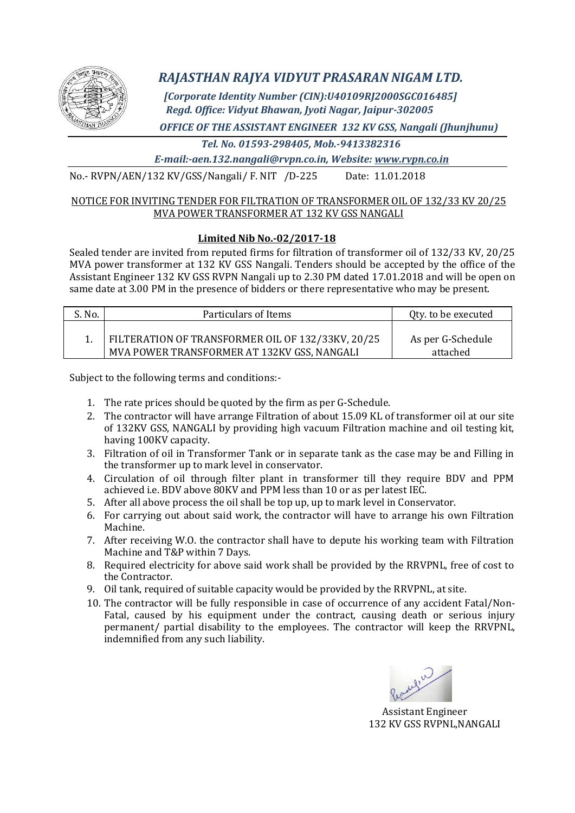

# *RAJASTHAN RAJYA VIDYUT PRASARAN NIGAM LTD.*

*[Corporate Identity Number (CIN):U40109RJ2000SGC016485] Regd. Office: Vidyut Bhawan, Jyoti Nagar, Jaipur-302005*

*OFFICE OF THE ASSISTANT ENGINEER 132 KV GSS, Nangali (Jhunjhunu)*

 *Tel. No. 01593-298405, Mob.-9413382316*

*E-mail:-aen.132.nangali@rvpn.co.in, Website: www.rvpn.co.in*

No.- RVPN/AEN/132 KV/GSS/Nangali/ F. NIT /D-225 Date: 11.01.2018

## NOTICE FOR INVITING TENDER FOR FILTRATION OF TRANSFORMER OIL OF 132/33 KV 20/25 MVA POWER TRANSFORMER AT 132 KV GSS NANGALI

# **Limited Nib No.-02/2017-18**

Sealed tender are invited from reputed firms for filtration of transformer oil of 132/33 KV, 20/25 MVA power transformer at 132 KV GSS Nangali. Tenders should be accepted by the office of the Assistant Engineer 132 KV GSS RVPN Nangali up to 2.30 PM dated 17.01.2018 and will be open on same date at 3.00 PM in the presence of bidders or there representative who may be present.

| S. No. | Particulars of Items                                                                             | Qty. to be executed           |  |  |
|--------|--------------------------------------------------------------------------------------------------|-------------------------------|--|--|
|        | FILTERATION OF TRANSFORMER OIL OF 132/33KV, 20/25<br>MVA POWER TRANSFORMER AT 132KV GSS, NANGALI | As per G-Schedule<br>attached |  |  |

Subject to the following terms and conditions:-

- 1. The rate prices should be quoted by the firm as per G-Schedule.
- 2. The contractor will have arrange Filtration of about 15.09 KL of transformer oil at our site of 132KV GSS, NANGALI by providing high vacuum Filtration machine and oil testing kit, having 100KV capacity.
- 3. Filtration of oil in Transformer Tank or in separate tank as the case may be and Filling in the transformer up to mark level in conservator.
- 4. Circulation of oil through filter plant in transformer till they require BDV and PPM achieved i.e. BDV above 80KV and PPM less than 10 or as per latest IEC.
- 5. After all above process the oil shall be top up, up to mark level in Conservator.
- 6. For carrying out about said work, the contractor will have to arrange his own Filtration Machine.
- 7. After receiving W.O. the contractor shall have to depute his working team with Filtration Machine and T&P within 7 Days.
- 8. Required electricity for above said work shall be provided by the RRVPNL, free of cost to the Contractor.
- 9. Oil tank, required of suitable capacity would be provided by the RRVPNL, at site.
- 10. The contractor will be fully responsible in case of occurrence of any accident Fatal/Non-Fatal, caused by his equipment under the contract, causing death or serious injury permanent/ partial disability to the employees. The contractor will keep the RRVPNL, indemnified from any such liability.

Assistant Engineer 132 KV GSS RVPNL,NANGALI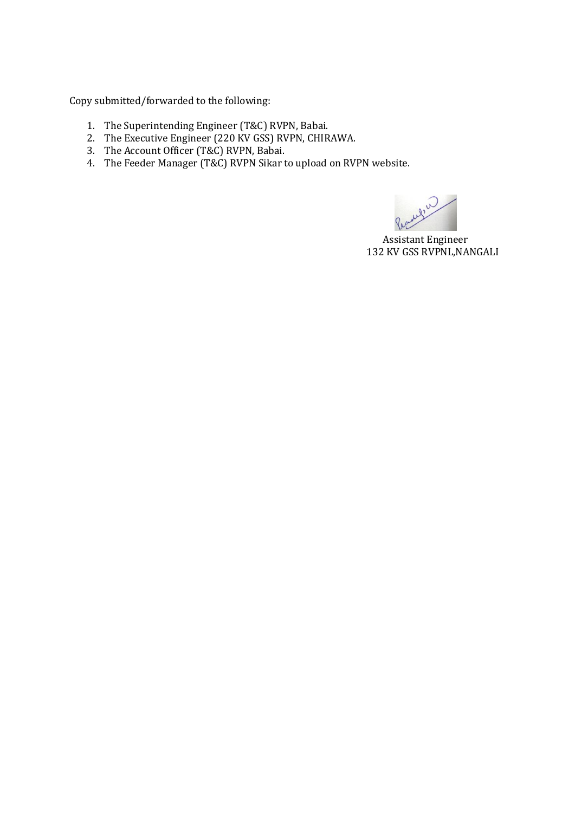Copy submitted/forwarded to the following:

- 1. The Superintending Engineer (T&C) RVPN, Babai.
- 2. The Executive Engineer (220 KV GSS) RVPN, CHIRAWA.
- 3. The Account Officer (T&C) RVPN, Babai.
- 4. The Feeder Manager (T&C) RVPN Sikar to upload on RVPN website.

My 2

 Assistant Engineer 132 KV GSS RVPNL,NANGALI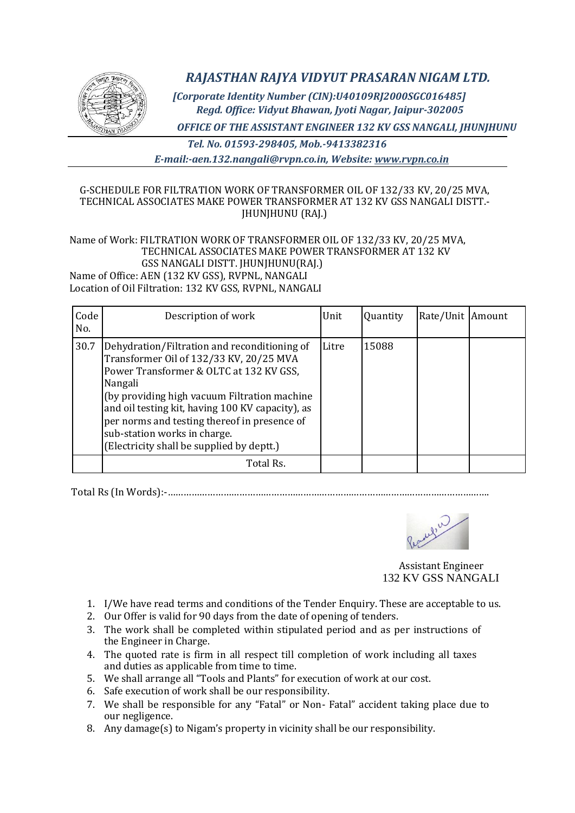

*RAJASTHAN RAJYA VIDYUT PRASARAN NIGAM LTD.*

*[Corporate Identity Number (CIN):U40109RJ2000SGC016485] Regd. Office: Vidyut Bhawan, Jyoti Nagar, Jaipur-302005*

*OFFICE OF THE ASSISTANT ENGINEER 132 KV GSS NANGALI, JHUNJHUNU*

*Tel. No. 01593-298405, Mob.-9413382316 E-mail:-aen.132.nangali@rvpn.co.in, Website: www.rvpn.co.in*

## G-SCHEDULE FOR FILTRATION WORK OF TRANSFORMER OIL OF 132/33 KV, 20/25 MVA, TECHNICAL ASSOCIATES MAKE POWER TRANSFORMER AT 132 KV GSS NANGALI DISTT.- JHUNJHUNU (RAJ.)

#### Name of Work: FILTRATION WORK OF TRANSFORMER OIL OF 132/33 KV, 20/25 MVA, TECHNICAL ASSOCIATES MAKE POWER TRANSFORMER AT 132 KV GSS NANGALI DISTT. JHUNJHUNU(RAJ.) Name of Office: AEN (132 KV GSS), RVPNL, NANGALI Location of Oil Filtration: 132 KV GSS, RVPNL, NANGALI

| Code<br>No. | Description of work                                                                                                                                                                                                                                                                                                                                                            | Unit  | Quantity | Rate/Unit Amount |  |
|-------------|--------------------------------------------------------------------------------------------------------------------------------------------------------------------------------------------------------------------------------------------------------------------------------------------------------------------------------------------------------------------------------|-------|----------|------------------|--|
| 30.7        | Dehydration/Filtration and reconditioning of<br>Transformer Oil of 132/33 KV, 20/25 MVA<br>Power Transformer & OLTC at 132 KV GSS,<br>Nangali<br>(by providing high vacuum Filtration machine<br>and oil testing kit, having 100 KV capacity), as<br>per norms and testing thereof in presence of<br>sub-station works in charge.<br>(Electricity shall be supplied by deptt.) | Litre | 15088    |                  |  |
|             | Total Rs.                                                                                                                                                                                                                                                                                                                                                                      |       |          |                  |  |

Total Rs (In Words):-………………………………………………………………………………………………………….



 Assistant Engineer 132 KV GSS NANGALI

- 1. I/We have read terms and conditions of the Tender Enquiry. These are acceptable to us.
- 2. Our Offer is valid for 90 days from the date of opening of tenders.
- 3. The work shall be completed within stipulated period and as per instructions of the Engineer in Charge.
- 4. The quoted rate is firm in all respect till completion of work including all taxes and duties as applicable from time to time.
- 5. We shall arrange all "Tools and Plants" for execution of work at our cost.
- 6. Safe execution of work shall be our responsibility.
- 7. We shall be responsible for any "Fatal" or Non- Fatal" accident taking place due to our negligence.
- 8. Any damage(s) to Nigam's property in vicinity shall be our responsibility.